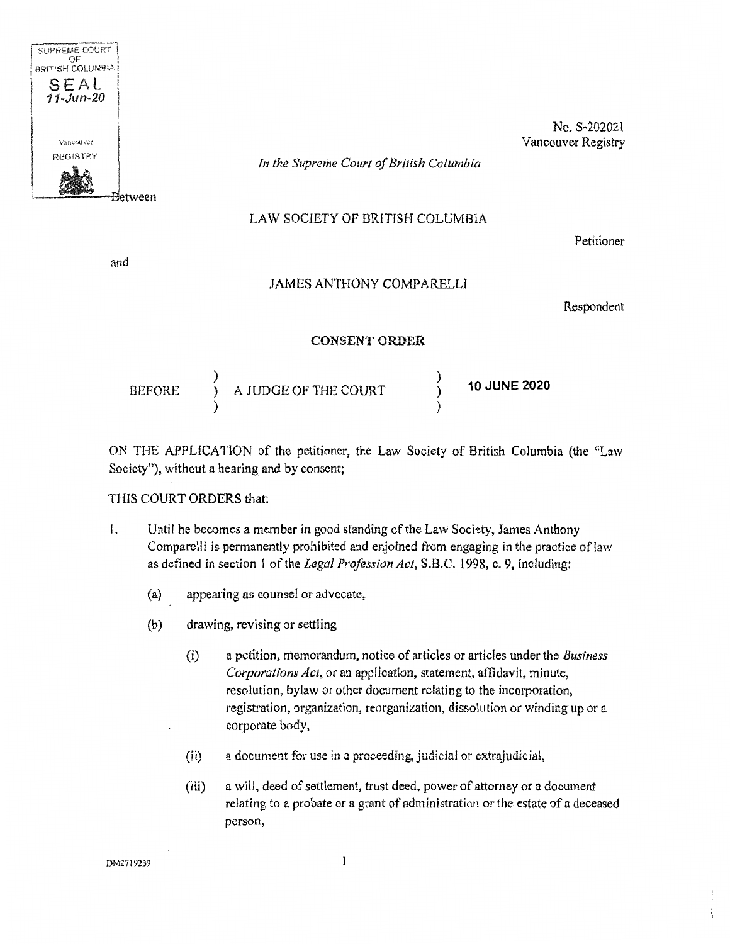

No. S-202021 Vancouver Registry

*In the Supreme Court of British Columbia* 

## LAW SOCIETY OF BRITISH COLUMBIA

Petitioner

and

## JAMES ANTHONY COMPARELLI

Respondent

## **CONSENT ORDER**

| <b>BEFORE</b> |  | A JUDGE OF THE COURT |  | <b>10 JUNE 2020</b> |
|---------------|--|----------------------|--|---------------------|
|---------------|--|----------------------|--|---------------------|

ON THE APPUCATION of the petitioner, the Law Society of British Columbia (the "Law Society"), without a hearing and by consent;

## THIS COURT ORDERS that:

- 1. Until he becomes a member in good standing of the Law Society, James Anthony Comparelli is permanently prohibited and enjoined from engaging in the practice of law as defined in section 1 of the *Legal Profession Act,* S.B.C. 1998, c. 9, including:
	- (a) appearing as counsel or advocate,
	- (b) drawing, revising or settling
		- (i) a petition, memorandum, notice of articles or articles under the *Business Corporations Act,* or an application, statement, affidavit, minute, resolution, bylaw or other document relating to the incorporation, registration, organization, reorganization, dissolution or winding up or a corporate body,
		- $(i)$ a document for use in a proceeding, judicial or extrajudicial,
		- (iii) a will, deed of settlement, trust deed, power of attorney or a document relating to a probate or a grant of administration or the estate of a deceased person,

DM2719239